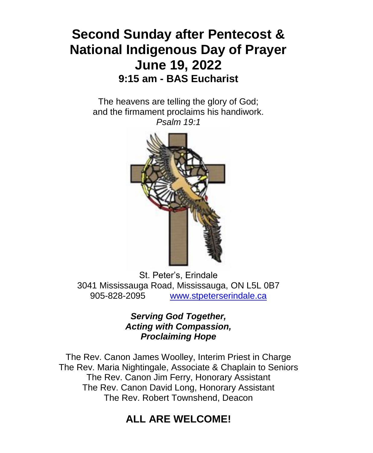## **Second Sunday after Pentecost & National Indigenous Day of Prayer June 19, 2022 9:15 am - BAS Eucharist**

The heavens are telling the glory of God; and the firmament proclaims his handiwork. *Psalm 19:1*



St. Peter's, Erindale 3041 Mississauga Road, Mississauga, ON L5L 0B7 905-828-2095 [www.stpeterserindale.ca](http://www.stpeterserindale.ca/)

> *Serving God Together, Acting with Compassion, Proclaiming Hope*

The Rev. Canon James Woolley, Interim Priest in Charge The Rev. Maria Nightingale, Associate & Chaplain to Seniors The Rev. Canon Jim Ferry, Honorary Assistant The Rev. Canon David Long, Honorary Assistant The Rev. Robert Townshend, Deacon

#### **ALL ARE WELCOME!**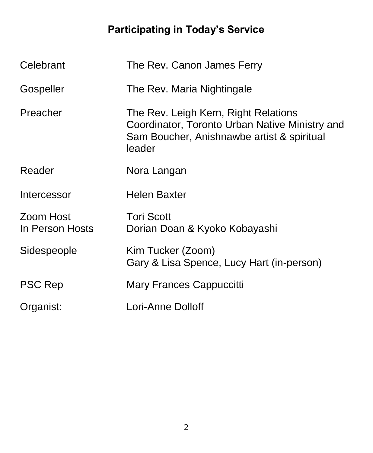# **Participating in Today's Service**

| Celebrant                    | The Rev. Canon James Ferry                                                                                                                     |
|------------------------------|------------------------------------------------------------------------------------------------------------------------------------------------|
| Gospeller                    | The Rev. Maria Nightingale                                                                                                                     |
| Preacher                     | The Rev. Leigh Kern, Right Relations<br>Coordinator, Toronto Urban Native Ministry and<br>Sam Boucher, Anishnawbe artist & spiritual<br>leader |
| Reader                       | Nora Langan                                                                                                                                    |
| Intercessor                  | <b>Helen Baxter</b>                                                                                                                            |
| Zoom Host<br>In Person Hosts | <b>Tori Scott</b><br>Dorian Doan & Kyoko Kobayashi                                                                                             |
| Sidespeople                  | Kim Tucker (Zoom)<br>Gary & Lisa Spence, Lucy Hart (in-person)                                                                                 |
| <b>PSC Rep</b>               | Mary Frances Cappuccitti                                                                                                                       |
| Organist:                    | Lori-Anne Dolloff                                                                                                                              |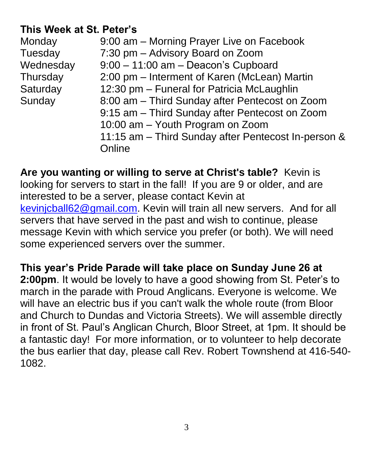## **This Week at St. Peter's**

| Monday    | 9:00 am - Morning Prayer Live on Facebook           |
|-----------|-----------------------------------------------------|
| Tuesday   | 7:30 pm - Advisory Board on Zoom                    |
| Wednesday | $9:00 - 11:00$ am $-$ Deacon's Cupboard             |
| Thursday  | 2:00 pm – Interment of Karen (McLean) Martin        |
| Saturday  | 12:30 pm - Funeral for Patricia McLaughlin          |
| Sunday    | 8:00 am - Third Sunday after Pentecost on Zoom      |
|           | 9:15 am - Third Sunday after Pentecost on Zoom      |
|           | 10:00 am - Youth Program on Zoom                    |
|           | 11:15 am - Third Sunday after Pentecost In-person & |
|           | Online                                              |

**Are you wanting or willing to serve at Christ's table?** Kevin is looking for servers to start in the fall! If you are 9 or older, and are interested to be a server, please contact Kevin at [kevinjcball62@gmail.com.](mailto:kevinjcball62@gmail.com) Kevin will train all new servers. And for all servers that have served in the past and wish to continue, please message Kevin with which service you prefer (or both). We will need some experienced servers over the summer.

**This year's Pride Parade will take place on Sunday June 26 at 2:00pm**. It would be lovely to have a good showing from St. Peter's to march in the parade with Proud Anglicans. Everyone is welcome. We will have an electric bus if you can't walk the whole route (from Bloor and Church to Dundas and Victoria Streets). We will assemble directly in front of St. Paul's Anglican Church, Bloor Street, at 1pm. It should be a fantastic day! For more information, or to volunteer to help decorate the bus earlier that day, please call Rev. Robert Townshend at 416-540- 1082.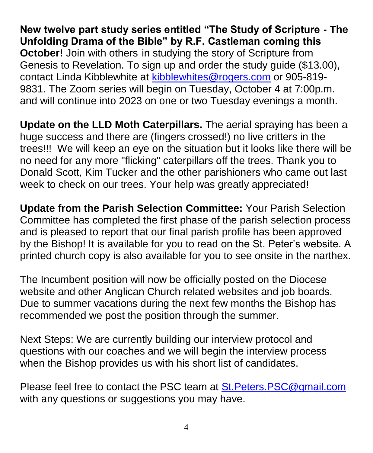**New twelve part study series entitled "The Study of Scripture - The Unfolding Drama of the Bible" by R.F. Castleman coming this October!** Join with others in studying the story of Scripture from Genesis to Revelation. To sign up and order the study guide (\$13.00), contact Linda Kibblewhite at [kibblewhites@rogers.com](mailto:kibblewhites@rogers.com) or 905-819- 9831. The Zoom series will begin on Tuesday, October 4 at 7:00p.m. and will continue into 2023 on one or two Tuesday evenings a month.

**Update on the LLD Moth Caterpillars.** The aerial spraying has been a huge success and there are (fingers crossed!) no live critters in the trees!!! We will keep an eye on the situation but it looks like there will be no need for any more "flicking" caterpillars off the trees. Thank you to Donald Scott, Kim Tucker and the other parishioners who came out last week to check on our trees. Your help was greatly appreciated!

**Update from the Parish Selection Committee:** Your Parish Selection Committee has completed the first phase of the parish selection process and is pleased to report that our final parish profile has been approved by the Bishop! It is available for you to read on the St. Peter's website. A printed church copy is also available for you to see onsite in the narthex.

The Incumbent position will now be officially posted on the Diocese website and other Anglican Church related websites and job boards. Due to summer vacations during the next few months the Bishop has recommended we post the position through the summer.

Next Steps: We are currently building our interview protocol and questions with our coaches and we will begin the interview process when the Bishop provides us with his short list of candidates.

Please feel free to contact the PSC team at [St.Peters.PSC@gmail.com](mailto:St.Peters.PSC@gmail.com) with any questions or suggestions you may have.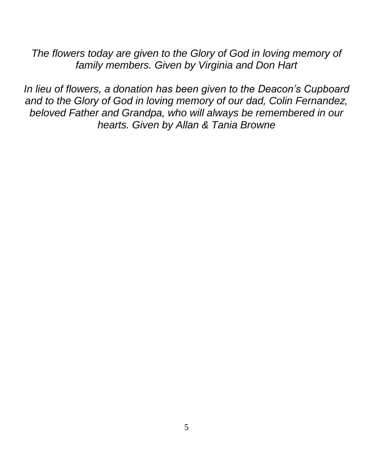*The flowers today are given to the Glory of God in loving memory of family members. Given by Virginia and Don Hart*

*In lieu of flowers, a donation has been given to the Deacon's Cupboard and to the Glory of God in loving memory of our dad, Colin Fernandez, beloved Father and Grandpa, who will always be remembered in our hearts. Given by Allan & Tania Browne*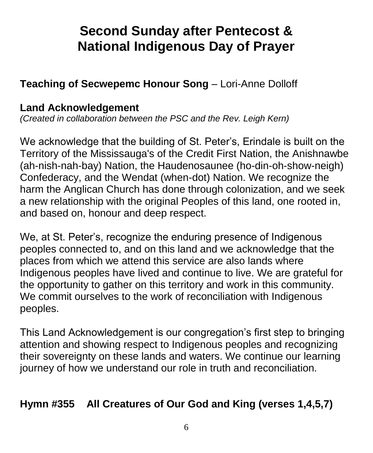# **Second Sunday after Pentecost & National Indigenous Day of Prayer**

## **Teaching of Secwepemc Honour Song** – Lori-Anne Dolloff

#### **Land Acknowledgement**

*(Created in collaboration between the PSC and the Rev. Leigh Kern)*

We acknowledge that the building of St. Peter's, Erindale is built on the Territory of the Mississauga's of the Credit First Nation, the Anishnawbe (ah-nish-nah-bay) Nation, the Haudenosaunee (ho-din-oh-show-neigh) Confederacy, and the Wendat (when-dot) Nation. We recognize the harm the Anglican Church has done through colonization, and we seek a new relationship with the original Peoples of this land, one rooted in, and based on, honour and deep respect.

We, at St. Peter's, recognize the enduring presence of Indigenous peoples connected to, and on this land and we acknowledge that the places from which we attend this service are also lands where Indigenous peoples have lived and continue to live. We are grateful for the opportunity to gather on this territory and work in this community. We commit ourselves to the work of reconciliation with Indigenous peoples.

This Land Acknowledgement is our congregation's first step to bringing attention and showing respect to Indigenous peoples and recognizing their sovereignty on these lands and waters. We continue our learning journey of how we understand our role in truth and reconciliation.

## **Hymn #355 All Creatures of Our God and King (verses 1,4,5,7)**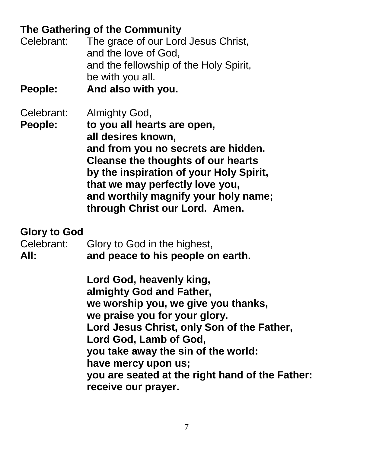## **The Gathering of the Community**

| Celebrant: | The grace of our Lord Jesus Christ,    |
|------------|----------------------------------------|
|            | and the love of God,                   |
|            | and the fellowship of the Holy Spirit, |
|            | be with you all.                       |
|            |                                        |

**People: And also with you.**

Celebrant: Almighty God,

**People: to you all hearts are open, all desires known, and from you no secrets are hidden. Cleanse the thoughts of our hearts by the inspiration of your Holy Spirit, that we may perfectly love you, and worthily magnify your holy name; through Christ our Lord. Amen.**

#### **Glory to God**

| Celebrant: | Glory to God in the highest,      |
|------------|-----------------------------------|
| All:       | and peace to his people on earth. |

**Lord God, heavenly king, almighty God and Father, we worship you, we give you thanks, we praise you for your glory. Lord Jesus Christ, only Son of the Father, Lord God, Lamb of God, you take away the sin of the world: have mercy upon us; you are seated at the right hand of the Father: receive our prayer.**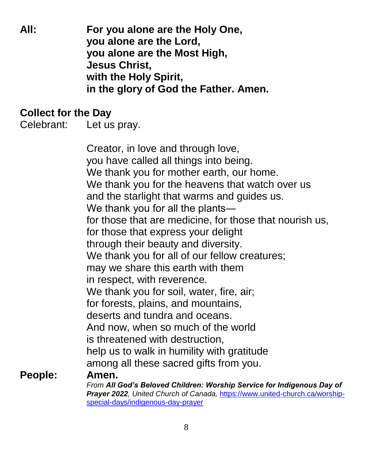**All: For you alone are the Holy One, you alone are the Lord, you alone are the Most High, Jesus Christ, with the Holy Spirit, in the glory of God the Father. Amen.**

#### **Collect for the Day**

Celebrant: Let us pray.

Creator, in love and through love, you have called all things into being. We thank you for mother earth, our home. We thank you for the heavens that watch over us and the starlight that warms and guides us. We thank you for all the plants― for those that are medicine, for those that nourish us, for those that express your delight through their beauty and diversity. We thank you for all of our fellow creatures; may we share this earth with them in respect, with reverence. We thank you for soil, water, fire, air; for forests, plains, and mountains, deserts and tundra and oceans. And now, when so much of the world is threatened with destruction, help us to walk in humility with gratitude among all these sacred gifts from you. **People: Amen.**

*From All God's Beloved Children: Worship Service for Indigenous Day of Prayer 2022, United Church of Canada,* [https://www.united-church.ca/worship](https://www.united-church.ca/worship-special-days/indigenous-day-prayer)[special-days/indigenous-day-prayer](https://www.united-church.ca/worship-special-days/indigenous-day-prayer)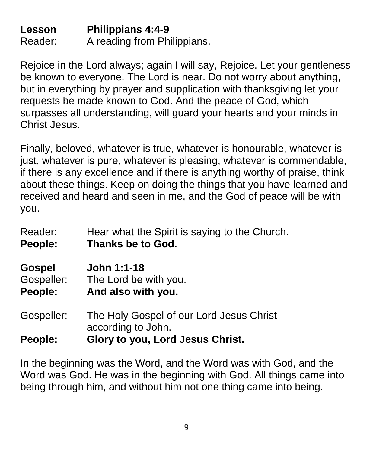**Lesson Philippians 4:4-9** Reader: A reading from Philippians.

Rejoice in the Lord always; again I will say, Rejoice. Let your gentleness be known to everyone. The Lord is near. Do not worry about anything, but in everything by prayer and supplication with thanksgiving let your requests be made known to God. And the peace of God, which surpasses all understanding, will guard your hearts and your minds in Christ Jesus.

Finally, beloved, whatever is true, whatever is honourable, whatever is just, whatever is pure, whatever is pleasing, whatever is commendable, if there is any excellence and if there is anything worthy of praise, think about these things. Keep on doing the things that you have learned and received and heard and seen in me, and the God of peace will be with you.

| Reader:       | Hear what the Spirit is saying to the Church.                  |
|---------------|----------------------------------------------------------------|
| People:       | <b>Thanks be to God.</b>                                       |
| <b>Gospel</b> | John 1:1-18                                                    |
| Gospeller:    | The Lord be with you.                                          |
| People:       | And also with you.                                             |
| Gospeller:    | The Holy Gospel of our Lord Jesus Christ<br>according to John. |
| People:       | Glory to you, Lord Jesus Christ.                               |

In the beginning was the Word, and the Word was with God, and the Word was God. He was in the beginning with God. All things came into being through him, and without him not one thing came into being.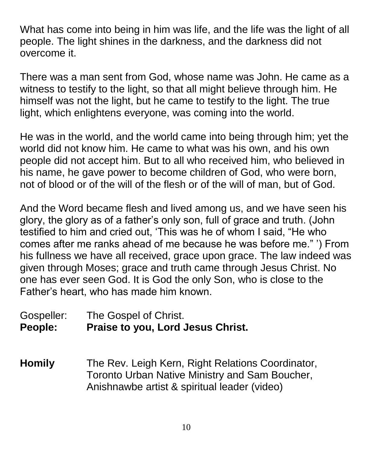What has come into being in him was life, and the life was the light of all people. The light shines in the darkness, and the darkness did not overcome it.

There was a man sent from God, whose name was John. He came as a witness to testify to the light, so that all might believe through him. He himself was not the light, but he came to testify to the light. The true light, which enlightens everyone, was coming into the world.

He was in the world, and the world came into being through him; yet the world did not know him. He came to what was his own, and his own people did not accept him. But to all who received him, who believed in his name, he gave power to become children of God, who were born, not of blood or of the will of the flesh or of the will of man, but of God.

And the Word became flesh and lived among us, and we have seen his glory, the glory as of a father's only son, full of grace and truth. (John testified to him and cried out, 'This was he of whom I said, "He who comes after me ranks ahead of me because he was before me." ') From his fullness we have all received, grace upon grace. The law indeed was given through Moses; grace and truth came through Jesus Christ. No one has ever seen God. It is God the only Son, who is close to the Father's heart, who has made him known.

Gospeller: The Gospel of Christ. **People: Praise to you, Lord Jesus Christ.**

**Homily** The Rev. Leigh Kern, Right Relations Coordinator, Toronto Urban Native Ministry and Sam Boucher, Anishnawbe artist & spiritual leader (video)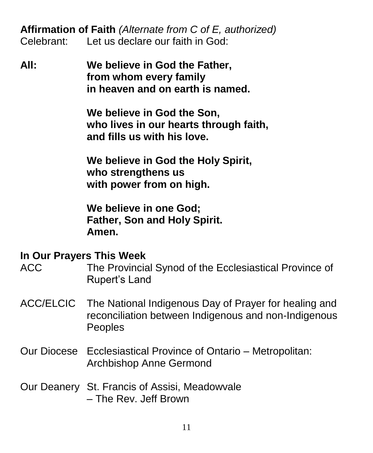**Affirmation of Faith** *(Alternate from C of E, authorized)* Celebrant: Let us declare our faith in God:

**All: We believe in God the Father, from whom every family in heaven and on earth is named.**

> **We believe in God the Son, who lives in our hearts through faith, and fills us with his love.**

**We believe in God the Holy Spirit, who strengthens us with power from on high.**

**We believe in one God; Father, Son and Holy Spirit. Amen.**

#### **In Our Prayers This Week**

- ACC The Provincial Synod of the Ecclesiastical Province of Rupert's Land
- ACC/ELCIC The National Indigenous Day of Prayer for healing and reconciliation between Indigenous and non-Indigenous Peoples
- Our Diocese Ecclesiastical Province of Ontario Metropolitan: Archbishop Anne Germond
- Our Deanery St. Francis of Assisi, Meadowvale – The Rev. Jeff Brown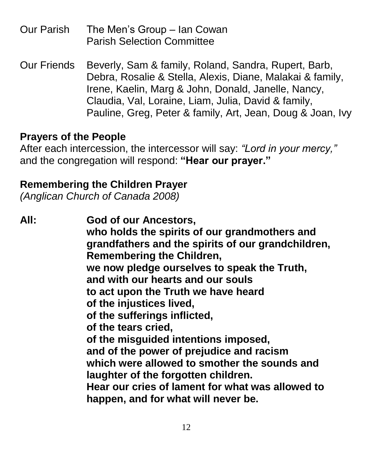| Our Parish | The Men's Group – Ian Cowan       |
|------------|-----------------------------------|
|            | <b>Parish Selection Committee</b> |

Our Friends Beverly, Sam & family, Roland, Sandra, Rupert, Barb, Debra, Rosalie & Stella, Alexis, Diane, Malakai & family, Irene, Kaelin, Marg & John, Donald, Janelle, Nancy, Claudia, Val, Loraine, Liam, Julia, David & family, Pauline, Greg, Peter & family, Art, Jean, Doug & Joan, Ivy

#### **Prayers of the People**

After each intercession, the intercessor will say: *"Lord in your mercy,"* and the congregation will respond: **"Hear our prayer."**

#### **Remembering the Children Prayer**

*(Anglican Church of Canada 2008)*

**All: God of our Ancestors, who holds the spirits of our grandmothers and grandfathers and the spirits of our grandchildren, Remembering the Children, we now pledge ourselves to speak the Truth, and with our hearts and our souls to act upon the Truth we have heard of the injustices lived, of the sufferings inflicted, of the tears cried, of the misguided intentions imposed, and of the power of prejudice and racism which were allowed to smother the sounds and laughter of the forgotten children. Hear our cries of lament for what was allowed to happen, and for what will never be.**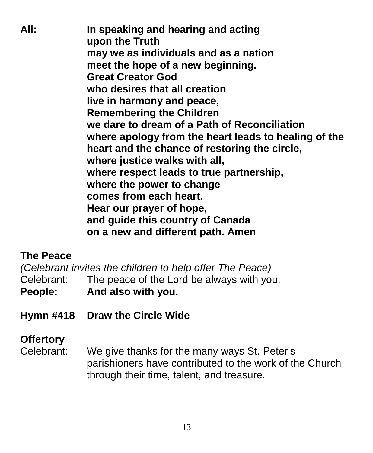**All: In speaking and hearing and acting upon the Truth may we as individuals and as a nation meet the hope of a new beginning. Great Creator God who desires that all creation live in harmony and peace, Remembering the Children we dare to dream of a Path of Reconciliation where apology from the heart leads to healing of the heart and the chance of restoring the circle, where justice walks with all, where respect leads to true partnership, where the power to change comes from each heart. Hear our prayer of hope, and guide this country of Canada on a new and different path. Amen**

#### **The Peace**

*(Celebrant invites the children to help offer The Peace)* Celebrant: The peace of the Lord be always with you. **People: And also with you.**

**Hymn #418 Draw the Circle Wide**

## **Offertory**

Celebrant: We give thanks for the many ways St. Peter's parishioners have contributed to the work of the Church through their time, talent, and treasure.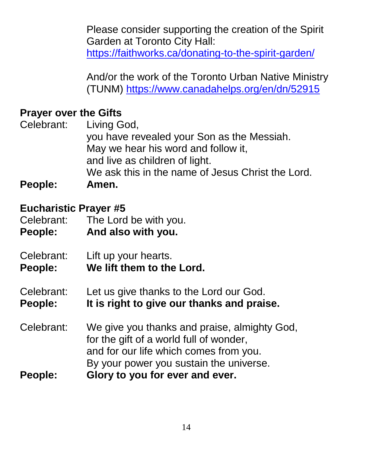Please consider supporting the creation of the Spirit Garden at Toronto City Hall: <https://faithworks.ca/donating-to-the-spirit-garden/>

And/or the work of the Toronto Urban Native Ministry (TUNM)<https://www.canadahelps.org/en/dn/52915>

#### **Prayer over the Gifts**

Celebrant: Living God, you have revealed your Son as the Messiah. May we hear his word and follow it, and live as children of light. We ask this in the name of Jesus Christ the Lord. **People: Amen.**

#### **Eucharistic Prayer #5**

Celebrant: The Lord be with you. **People: And also with you.** 

- 
- Celebrant: Lift up your hearts.
- **People: We lift them to the Lord.**
- Celebrant: Let us give thanks to the Lord our God.
- **People: It is right to give our thanks and praise.**
- Celebrant: We give you thanks and praise, almighty God, for the gift of a world full of wonder, and for our life which comes from you. By your power you sustain the universe.
- **People: Glory to you for ever and ever.**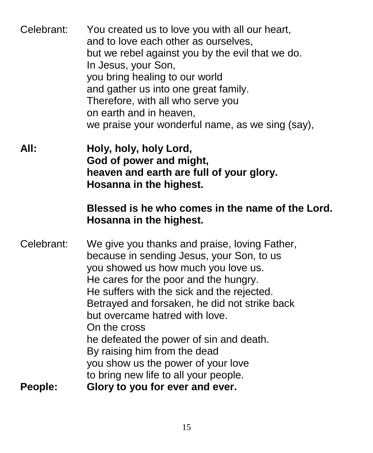| Celebrant: | You created us to love you with all our heart,<br>and to love each other as ourselves,<br>but we rebel against you by the evil that we do.<br>In Jesus, your Son,<br>you bring healing to our world<br>and gather us into one great family.<br>Therefore, with all who serve you<br>on earth and in heaven,<br>we praise your wonderful name, as we sing (say),                                                                              |
|------------|----------------------------------------------------------------------------------------------------------------------------------------------------------------------------------------------------------------------------------------------------------------------------------------------------------------------------------------------------------------------------------------------------------------------------------------------|
| All:       | Holy, holy, holy Lord,<br>God of power and might,<br>heaven and earth are full of your glory.<br>Hosanna in the highest.                                                                                                                                                                                                                                                                                                                     |
|            | Blessed is he who comes in the name of the Lord.<br>Hosanna in the highest.                                                                                                                                                                                                                                                                                                                                                                  |
| Celebrant: | We give you thanks and praise, loving Father,<br>because in sending Jesus, your Son, to us<br>you showed us how much you love us.<br>He cares for the poor and the hungry.<br>He suffers with the sick and the rejected.<br>Betrayed and forsaken, he did not strike back<br>but overcame hatred with love.<br>On the cross<br>he defeated the power of sin and death.<br>By raising him from the dead<br>you show us the power of your love |
| People:    | to bring new life to all your people.<br>Glory to you for ever and ever.                                                                                                                                                                                                                                                                                                                                                                     |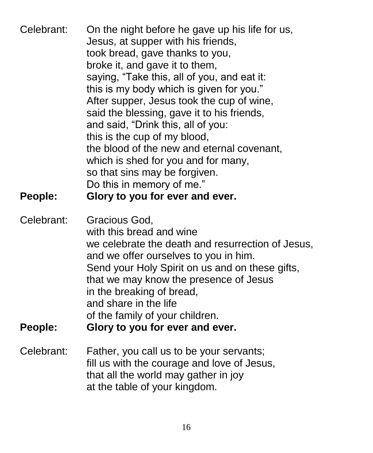| Celebrant:<br>People: | On the night before he gave up his life for us,<br>Jesus, at supper with his friends,<br>took bread, gave thanks to you,<br>broke it, and gave it to them,<br>saying, "Take this, all of you, and eat it:<br>this is my body which is given for you."<br>After supper, Jesus took the cup of wine,<br>said the blessing, gave it to his friends,<br>and said, "Drink this, all of you:<br>this is the cup of my blood,<br>the blood of the new and eternal covenant,<br>which is shed for you and for many,<br>so that sins may be forgiven.<br>Do this in memory of me."<br>Glory to you for ever and ever. |
|-----------------------|--------------------------------------------------------------------------------------------------------------------------------------------------------------------------------------------------------------------------------------------------------------------------------------------------------------------------------------------------------------------------------------------------------------------------------------------------------------------------------------------------------------------------------------------------------------------------------------------------------------|
| Celebrant:<br>People: | Gracious God,<br>with this bread and wine<br>we celebrate the death and resurrection of Jesus,<br>and we offer ourselves to you in him.<br>Send your Holy Spirit on us and on these gifts,<br>that we may know the presence of Jesus<br>in the breaking of bread,<br>and share in the life<br>of the family of your children.<br>Glory to you for ever and ever.                                                                                                                                                                                                                                             |
| Celebrant:            | Father, you call us to be your servants;<br>fill us with the courage and love of Jesus,<br>that all the world may gather in joy<br>at the table of your kingdom.                                                                                                                                                                                                                                                                                                                                                                                                                                             |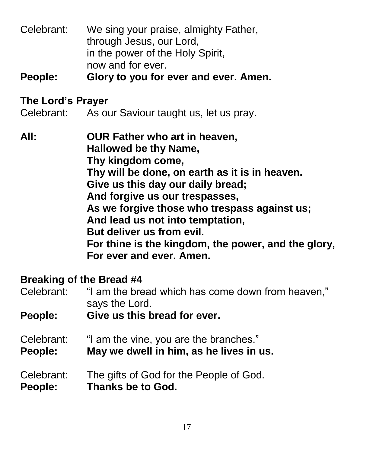Celebrant: We sing your praise, almighty Father, through Jesus, our Lord, in the power of the Holy Spirit, now and for ever.

**People: Glory to you for ever and ever. Amen.**

#### **The Lord's Prayer**

Celebrant: As our Saviour taught us, let us pray.

**All: OUR Father who art in heaven, Hallowed be thy Name, Thy kingdom come, Thy will be done, on earth as it is in heaven. Give us this day our daily bread; And forgive us our trespasses, As we forgive those who trespass against us; And lead us not into temptation, But deliver us from evil. For thine is the kingdom, the power, and the glory, For ever and ever. Amen.**

#### **Breaking of the Bread #4**

Celebrant: "I am the bread which has come down from heaven," says the Lord.

**People: Give us this bread for ever.**

- Celebrant: "I am the vine, you are the branches."
- **People: May we dwell in him, as he lives in us.**

#### Celebrant: The gifts of God for the People of God. **People: Thanks be to God.**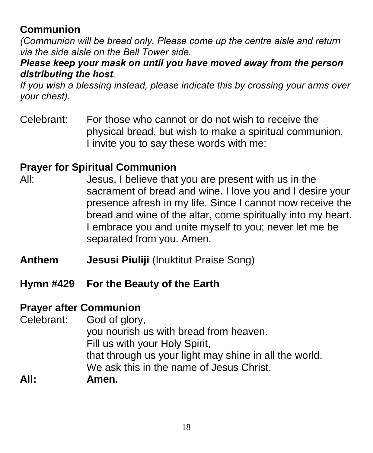## **Communion**

*(Communion will be bread only. Please come up the centre aisle and return via the side aisle on the Bell Tower side.*

#### *Please keep your mask on until you have moved away from the person distributing the host.*

*If you wish a blessing instead, please indicate this by crossing your arms over your chest).*

Celebrant: For those who cannot or do not wish to receive the physical bread, but wish to make a spiritual communion, I invite you to say these words with me:

## **Prayer for Spiritual Communion**

- All: Jesus, I believe that you are present with us in the sacrament of bread and wine. I love you and I desire your presence afresh in my life. Since I cannot now receive the bread and wine of the altar, come spiritually into my heart. I embrace you and unite myself to you; never let me be separated from you. Amen.
- **Anthem Jesusi Piuliji (Inuktitut Praise Song)**
- **Hymn #429 For the Beauty of the Earth**

#### **Prayer after Communion**

Celebrant: God of glory, you nourish us with bread from heaven. Fill us with your Holy Spirit, that through us your light may shine in all the world. We ask this in the name of Jesus Christ. **All: Amen.**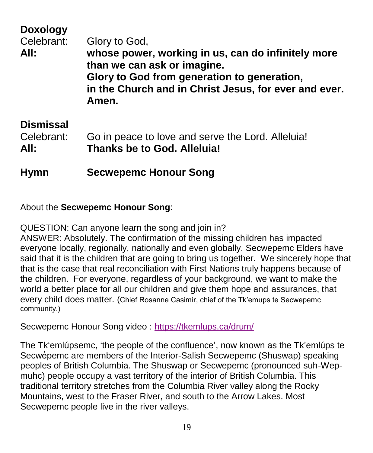## **Doxology** Celebrant: Glory to God, **All: whose power, working in us, can do infinitely more than we can ask or imagine. Glory to God from generation to generation, in the Church and in Christ Jesus, for ever and ever. Amen.**

## **Dismissal**

Celebrant: Go in peace to love and serve the Lord. Alleluia! **All: Thanks be to God. Alleluia!**

**Hymn Secwepemc Honour Song**

About the **Secwepemc Honour Song**:

QUESTION: Can anyone learn the song and join in?

ANSWER: Absolutely. The confirmation of the missing children has impacted everyone locally, regionally, nationally and even globally. Secwepemc Elders have said that it is the children that are going to bring us together. We sincerely hope that that is the case that real reconciliation with First Nations truly happens because of the children. For everyone, regardless of your background, we want to make the world a better place for all our children and give them hope and assurances, that every child does matter. (Chief Rosanne Casimir, chief of the Tk'emups te Secwepemc community.)

Secwepemc Honour Song video :<https://tkemlups.ca/drum/>

The Tk'emlúpsemc, 'the people of the confluence', now known as the Tk'emlúps te Secwe pemc are members of the Interior-Salish Secwe pemc (Shuswap) speaking peoples of British Columbia. The Shuswap or Secwepemc (pronounced suh-Wepmuhc) people occupy a vast territory of the interior of British Columbia. This traditional territory stretches from the Columbia River valley along the Rocky Mountains, west to the Fraser River, and south to the Arrow Lakes. Most Secwepemc people live in the river valleys.